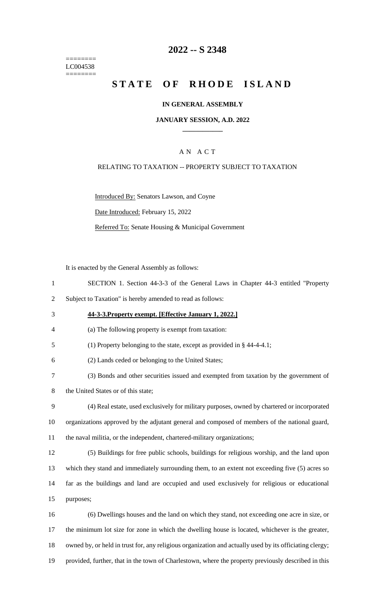======== LC004538 ========

## **2022 -- S 2348**

# **STATE OF RHODE ISLAND**

#### **IN GENERAL ASSEMBLY**

#### **JANUARY SESSION, A.D. 2022 \_\_\_\_\_\_\_\_\_\_\_\_**

### A N A C T

#### RELATING TO TAXATION -- PROPERTY SUBJECT TO TAXATION

Introduced By: Senators Lawson, and Coyne

Date Introduced: February 15, 2022

Referred To: Senate Housing & Municipal Government

It is enacted by the General Assembly as follows:

- 1 SECTION 1. Section 44-3-3 of the General Laws in Chapter 44-3 entitled "Property
- 2 Subject to Taxation" is hereby amended to read as follows:
- 3 **44-3-3.Property exempt. [Effective January 1, 2022.]**
- 4 (a) The following property is exempt from taxation:
- 5 (1) Property belonging to the state, except as provided in § 44-4-4.1;
- 6 (2) Lands ceded or belonging to the United States;
- 7 (3) Bonds and other securities issued and exempted from taxation by the government of
- 8 the United States or of this state;
- 9 (4) Real estate, used exclusively for military purposes, owned by chartered or incorporated 10 organizations approved by the adjutant general and composed of members of the national guard, 11 the naval militia, or the independent, chartered-military organizations;
- 12 (5) Buildings for free public schools, buildings for religious worship, and the land upon 13 which they stand and immediately surrounding them, to an extent not exceeding five (5) acres so
- 14 far as the buildings and land are occupied and used exclusively for religious or educational 15 purposes;
- 16 (6) Dwellings houses and the land on which they stand, not exceeding one acre in size, or 17 the minimum lot size for zone in which the dwelling house is located, whichever is the greater, 18 owned by, or held in trust for, any religious organization and actually used by its officiating clergy; 19 provided, further, that in the town of Charlestown, where the property previously described in this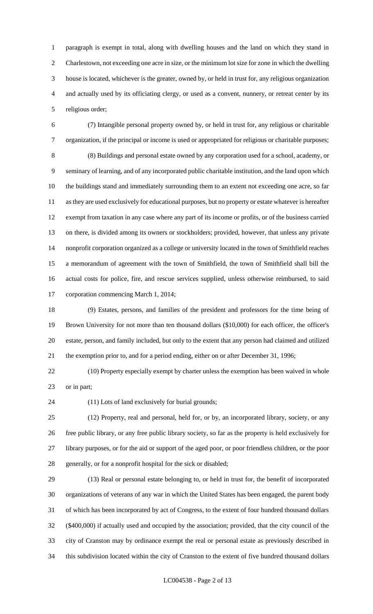paragraph is exempt in total, along with dwelling houses and the land on which they stand in Charlestown, not exceeding one acre in size, or the minimum lot size for zone in which the dwelling house is located, whichever is the greater, owned by, or held in trust for, any religious organization and actually used by its officiating clergy, or used as a convent, nunnery, or retreat center by its religious order;

 (7) Intangible personal property owned by, or held in trust for, any religious or charitable organization, if the principal or income is used or appropriated for religious or charitable purposes; (8) Buildings and personal estate owned by any corporation used for a school, academy, or seminary of learning, and of any incorporated public charitable institution, and the land upon which the buildings stand and immediately surrounding them to an extent not exceeding one acre, so far as they are used exclusively for educational purposes, but no property or estate whatever is hereafter exempt from taxation in any case where any part of its income or profits, or of the business carried on there, is divided among its owners or stockholders; provided, however, that unless any private nonprofit corporation organized as a college or university located in the town of Smithfield reaches a memorandum of agreement with the town of Smithfield, the town of Smithfield shall bill the actual costs for police, fire, and rescue services supplied, unless otherwise reimbursed, to said corporation commencing March 1, 2014;

 (9) Estates, persons, and families of the president and professors for the time being of Brown University for not more than ten thousand dollars (\$10,000) for each officer, the officer's estate, person, and family included, but only to the extent that any person had claimed and utilized the exemption prior to, and for a period ending, either on or after December 31, 1996;

 (10) Property especially exempt by charter unless the exemption has been waived in whole or in part;

(11) Lots of land exclusively for burial grounds;

 (12) Property, real and personal, held for, or by, an incorporated library, society, or any free public library, or any free public library society, so far as the property is held exclusively for library purposes, or for the aid or support of the aged poor, or poor friendless children, or the poor generally, or for a nonprofit hospital for the sick or disabled;

 (13) Real or personal estate belonging to, or held in trust for, the benefit of incorporated organizations of veterans of any war in which the United States has been engaged, the parent body of which has been incorporated by act of Congress, to the extent of four hundred thousand dollars (\$400,000) if actually used and occupied by the association; provided, that the city council of the city of Cranston may by ordinance exempt the real or personal estate as previously described in this subdivision located within the city of Cranston to the extent of five hundred thousand dollars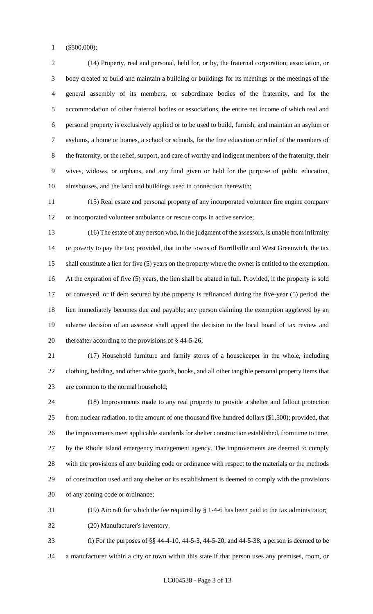(\$500,000);

 (14) Property, real and personal, held for, or by, the fraternal corporation, association, or body created to build and maintain a building or buildings for its meetings or the meetings of the general assembly of its members, or subordinate bodies of the fraternity, and for the accommodation of other fraternal bodies or associations, the entire net income of which real and personal property is exclusively applied or to be used to build, furnish, and maintain an asylum or asylums, a home or homes, a school or schools, for the free education or relief of the members of the fraternity, or the relief, support, and care of worthy and indigent members of the fraternity, their wives, widows, or orphans, and any fund given or held for the purpose of public education, almshouses, and the land and buildings used in connection therewith;

 (15) Real estate and personal property of any incorporated volunteer fire engine company or incorporated volunteer ambulance or rescue corps in active service;

 (16) The estate of any person who, in the judgment of the assessors, is unable from infirmity or poverty to pay the tax; provided, that in the towns of Burrillville and West Greenwich, the tax shall constitute a lien for five (5) years on the property where the owner is entitled to the exemption. At the expiration of five (5) years, the lien shall be abated in full. Provided, if the property is sold or conveyed, or if debt secured by the property is refinanced during the five-year (5) period, the lien immediately becomes due and payable; any person claiming the exemption aggrieved by an adverse decision of an assessor shall appeal the decision to the local board of tax review and thereafter according to the provisions of § 44-5-26;

 (17) Household furniture and family stores of a housekeeper in the whole, including clothing, bedding, and other white goods, books, and all other tangible personal property items that are common to the normal household;

 (18) Improvements made to any real property to provide a shelter and fallout protection from nuclear radiation, to the amount of one thousand five hundred dollars (\$1,500); provided, that the improvements meet applicable standards for shelter construction established, from time to time, by the Rhode Island emergency management agency. The improvements are deemed to comply with the provisions of any building code or ordinance with respect to the materials or the methods of construction used and any shelter or its establishment is deemed to comply with the provisions of any zoning code or ordinance;

(19) Aircraft for which the fee required by § 1-4-6 has been paid to the tax administrator;

(20) Manufacturer's inventory.

 (i) For the purposes of §§ 44-4-10, 44-5-3, 44-5-20, and 44-5-38, a person is deemed to be a manufacturer within a city or town within this state if that person uses any premises, room, or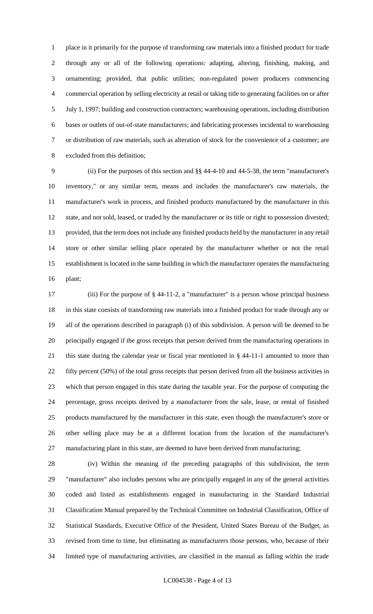place in it primarily for the purpose of transforming raw materials into a finished product for trade through any or all of the following operations: adapting, altering, finishing, making, and ornamenting; provided, that public utilities; non-regulated power producers commencing commercial operation by selling electricity at retail or taking title to generating facilities on or after July 1, 1997; building and construction contractors; warehousing operations, including distribution bases or outlets of out-of-state manufacturers; and fabricating processes incidental to warehousing or distribution of raw materials, such as alteration of stock for the convenience of a customer; are excluded from this definition;

 (ii) For the purposes of this section and §§ 44-4-10 and 44-5-38, the term "manufacturer's inventory," or any similar term, means and includes the manufacturer's raw materials, the manufacturer's work in process, and finished products manufactured by the manufacturer in this state, and not sold, leased, or traded by the manufacturer or its title or right to possession divested; provided, that the term does not include any finished products held by the manufacturer in any retail store or other similar selling place operated by the manufacturer whether or not the retail establishment is located in the same building in which the manufacturer operates the manufacturing plant;

 (iii) For the purpose of § 44-11-2, a "manufacturer" is a person whose principal business in this state consists of transforming raw materials into a finished product for trade through any or all of the operations described in paragraph (i) of this subdivision. A person will be deemed to be principally engaged if the gross receipts that person derived from the manufacturing operations in this state during the calendar year or fiscal year mentioned in § 44-11-1 amounted to more than fifty percent (50%) of the total gross receipts that person derived from all the business activities in which that person engaged in this state during the taxable year. For the purpose of computing the percentage, gross receipts derived by a manufacturer from the sale, lease, or rental of finished products manufactured by the manufacturer in this state, even though the manufacturer's store or other selling place may be at a different location from the location of the manufacturer's manufacturing plant in this state, are deemed to have been derived from manufacturing;

 (iv) Within the meaning of the preceding paragraphs of this subdivision, the term "manufacturer" also includes persons who are principally engaged in any of the general activities coded and listed as establishments engaged in manufacturing in the Standard Industrial Classification Manual prepared by the Technical Committee on Industrial Classification, Office of Statistical Standards, Executive Office of the President, United States Bureau of the Budget, as revised from time to time, but eliminating as manufacturers those persons, who, because of their limited type of manufacturing activities, are classified in the manual as falling within the trade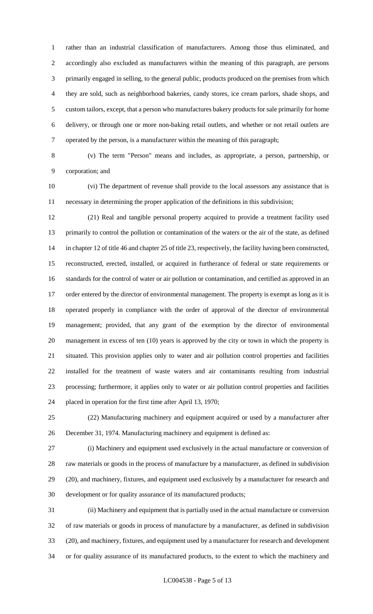rather than an industrial classification of manufacturers. Among those thus eliminated, and accordingly also excluded as manufacturers within the meaning of this paragraph, are persons primarily engaged in selling, to the general public, products produced on the premises from which they are sold, such as neighborhood bakeries, candy stores, ice cream parlors, shade shops, and custom tailors, except, that a person who manufactures bakery products for sale primarily for home delivery, or through one or more non-baking retail outlets, and whether or not retail outlets are operated by the person, is a manufacturer within the meaning of this paragraph;

 (v) The term "Person" means and includes, as appropriate, a person, partnership, or corporation; and

 (vi) The department of revenue shall provide to the local assessors any assistance that is necessary in determining the proper application of the definitions in this subdivision;

 (21) Real and tangible personal property acquired to provide a treatment facility used primarily to control the pollution or contamination of the waters or the air of the state, as defined in chapter 12 of title 46 and chapter 25 of title 23, respectively, the facility having been constructed, reconstructed, erected, installed, or acquired in furtherance of federal or state requirements or standards for the control of water or air pollution or contamination, and certified as approved in an 17 order entered by the director of environmental management. The property is exempt as long as it is operated properly in compliance with the order of approval of the director of environmental management; provided, that any grant of the exemption by the director of environmental management in excess of ten (10) years is approved by the city or town in which the property is situated. This provision applies only to water and air pollution control properties and facilities installed for the treatment of waste waters and air contaminants resulting from industrial processing; furthermore, it applies only to water or air pollution control properties and facilities placed in operation for the first time after April 13, 1970;

 (22) Manufacturing machinery and equipment acquired or used by a manufacturer after December 31, 1974. Manufacturing machinery and equipment is defined as:

 (i) Machinery and equipment used exclusively in the actual manufacture or conversion of raw materials or goods in the process of manufacture by a manufacturer, as defined in subdivision (20), and machinery, fixtures, and equipment used exclusively by a manufacturer for research and development or for quality assurance of its manufactured products;

 (ii) Machinery and equipment that is partially used in the actual manufacture or conversion of raw materials or goods in process of manufacture by a manufacturer, as defined in subdivision (20), and machinery, fixtures, and equipment used by a manufacturer for research and development or for quality assurance of its manufactured products, to the extent to which the machinery and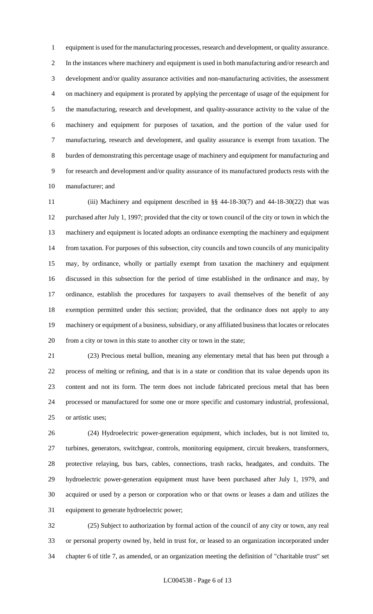equipment is used for the manufacturing processes, research and development, or quality assurance. In the instances where machinery and equipment is used in both manufacturing and/or research and development and/or quality assurance activities and non-manufacturing activities, the assessment on machinery and equipment is prorated by applying the percentage of usage of the equipment for the manufacturing, research and development, and quality-assurance activity to the value of the machinery and equipment for purposes of taxation, and the portion of the value used for manufacturing, research and development, and quality assurance is exempt from taxation. The burden of demonstrating this percentage usage of machinery and equipment for manufacturing and for research and development and/or quality assurance of its manufactured products rests with the manufacturer; and

 (iii) Machinery and equipment described in §§ 44-18-30(7) and 44-18-30(22) that was purchased after July 1, 1997; provided that the city or town council of the city or town in which the machinery and equipment is located adopts an ordinance exempting the machinery and equipment from taxation. For purposes of this subsection, city councils and town councils of any municipality may, by ordinance, wholly or partially exempt from taxation the machinery and equipment discussed in this subsection for the period of time established in the ordinance and may, by ordinance, establish the procedures for taxpayers to avail themselves of the benefit of any exemption permitted under this section; provided, that the ordinance does not apply to any machinery or equipment of a business, subsidiary, or any affiliated business that locates or relocates from a city or town in this state to another city or town in the state;

 (23) Precious metal bullion, meaning any elementary metal that has been put through a process of melting or refining, and that is in a state or condition that its value depends upon its content and not its form. The term does not include fabricated precious metal that has been processed or manufactured for some one or more specific and customary industrial, professional, or artistic uses;

 (24) Hydroelectric power-generation equipment, which includes, but is not limited to, turbines, generators, switchgear, controls, monitoring equipment, circuit breakers, transformers, protective relaying, bus bars, cables, connections, trash racks, headgates, and conduits. The hydroelectric power-generation equipment must have been purchased after July 1, 1979, and acquired or used by a person or corporation who or that owns or leases a dam and utilizes the equipment to generate hydroelectric power;

 (25) Subject to authorization by formal action of the council of any city or town, any real or personal property owned by, held in trust for, or leased to an organization incorporated under chapter 6 of title 7, as amended, or an organization meeting the definition of "charitable trust" set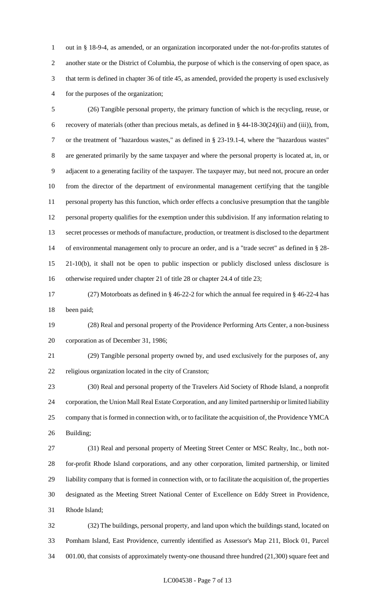out in § 18-9-4, as amended, or an organization incorporated under the not-for-profits statutes of another state or the District of Columbia, the purpose of which is the conserving of open space, as that term is defined in chapter 36 of title 45, as amended, provided the property is used exclusively for the purposes of the organization;

 (26) Tangible personal property, the primary function of which is the recycling, reuse, or recovery of materials (other than precious metals, as defined in § 44-18-30(24)(ii) and (iii)), from, or the treatment of "hazardous wastes," as defined in § 23-19.1-4, where the "hazardous wastes" are generated primarily by the same taxpayer and where the personal property is located at, in, or adjacent to a generating facility of the taxpayer. The taxpayer may, but need not, procure an order from the director of the department of environmental management certifying that the tangible personal property has this function, which order effects a conclusive presumption that the tangible personal property qualifies for the exemption under this subdivision. If any information relating to secret processes or methods of manufacture, production, or treatment is disclosed to the department of environmental management only to procure an order, and is a "trade secret" as defined in § 28- 21-10(b), it shall not be open to public inspection or publicly disclosed unless disclosure is otherwise required under chapter 21 of title 28 or chapter 24.4 of title 23;

 (27) Motorboats as defined in § 46-22-2 for which the annual fee required in § 46-22-4 has been paid;

 (28) Real and personal property of the Providence Performing Arts Center, a non-business corporation as of December 31, 1986;

 (29) Tangible personal property owned by, and used exclusively for the purposes of, any religious organization located in the city of Cranston;

 (30) Real and personal property of the Travelers Aid Society of Rhode Island, a nonprofit corporation, the Union Mall Real Estate Corporation, and any limited partnership or limited liability company that is formed in connection with, or to facilitate the acquisition of, the Providence YMCA Building;

 (31) Real and personal property of Meeting Street Center or MSC Realty, Inc., both not- for-profit Rhode Island corporations, and any other corporation, limited partnership, or limited liability company that is formed in connection with, or to facilitate the acquisition of, the properties designated as the Meeting Street National Center of Excellence on Eddy Street in Providence, Rhode Island;

 (32) The buildings, personal property, and land upon which the buildings stand, located on Pomham Island, East Providence, currently identified as Assessor's Map 211, Block 01, Parcel 001.00, that consists of approximately twenty-one thousand three hundred (21,300) square feet and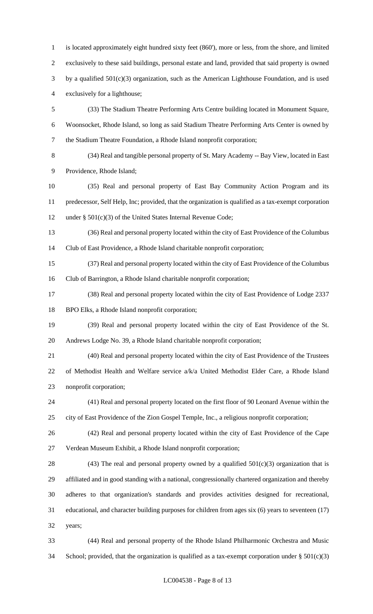is located approximately eight hundred sixty feet (860'), more or less, from the shore, and limited exclusively to these said buildings, personal estate and land, provided that said property is owned by a qualified 501(c)(3) organization, such as the American Lighthouse Foundation, and is used exclusively for a lighthouse; (33) The Stadium Theatre Performing Arts Centre building located in Monument Square, Woonsocket, Rhode Island, so long as said Stadium Theatre Performing Arts Center is owned by the Stadium Theatre Foundation, a Rhode Island nonprofit corporation;

 (34) Real and tangible personal property of St. Mary Academy -- Bay View, located in East Providence, Rhode Island;

 (35) Real and personal property of East Bay Community Action Program and its predecessor, Self Help, Inc; provided, that the organization is qualified as a tax-exempt corporation under § 501(c)(3) of the United States Internal Revenue Code;

 (36) Real and personal property located within the city of East Providence of the Columbus Club of East Providence, a Rhode Island charitable nonprofit corporation;

 (37) Real and personal property located within the city of East Providence of the Columbus Club of Barrington, a Rhode Island charitable nonprofit corporation;

 (38) Real and personal property located within the city of East Providence of Lodge 2337 BPO Elks, a Rhode Island nonprofit corporation;

 (39) Real and personal property located within the city of East Providence of the St. Andrews Lodge No. 39, a Rhode Island charitable nonprofit corporation;

 (40) Real and personal property located within the city of East Providence of the Trustees of Methodist Health and Welfare service a/k/a United Methodist Elder Care, a Rhode Island nonprofit corporation;

 (41) Real and personal property located on the first floor of 90 Leonard Avenue within the city of East Providence of the Zion Gospel Temple, Inc., a religious nonprofit corporation;

 (42) Real and personal property located within the city of East Providence of the Cape Verdean Museum Exhibit, a Rhode Island nonprofit corporation;

28 (43) The real and personal property owned by a qualified  $501(c)(3)$  organization that is affiliated and in good standing with a national, congressionally chartered organization and thereby adheres to that organization's standards and provides activities designed for recreational, educational, and character building purposes for children from ages six (6) years to seventeen (17) years;

 (44) Real and personal property of the Rhode Island Philharmonic Orchestra and Music 34 School; provided, that the organization is qualified as a tax-exempt corporation under  $\S 501(c)(3)$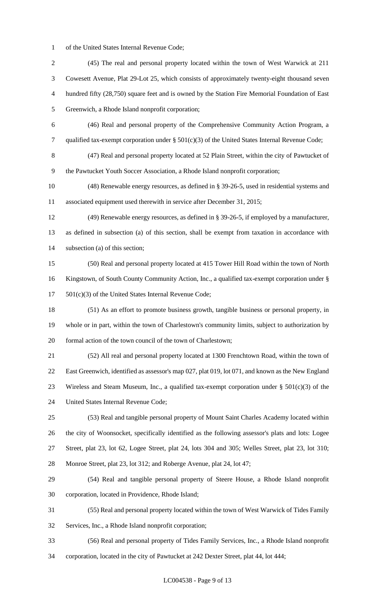of the United States Internal Revenue Code;

 (45) The real and personal property located within the town of West Warwick at 211 Cowesett Avenue, Plat 29-Lot 25, which consists of approximately twenty-eight thousand seven hundred fifty (28,750) square feet and is owned by the Station Fire Memorial Foundation of East Greenwich, a Rhode Island nonprofit corporation; (46) Real and personal property of the Comprehensive Community Action Program, a qualified tax-exempt corporation under § 501(c)(3) of the United States Internal Revenue Code; (47) Real and personal property located at 52 Plain Street, within the city of Pawtucket of the Pawtucket Youth Soccer Association, a Rhode Island nonprofit corporation; (48) Renewable energy resources, as defined in § 39-26-5, used in residential systems and associated equipment used therewith in service after December 31, 2015; (49) Renewable energy resources, as defined in § 39-26-5, if employed by a manufacturer, as defined in subsection (a) of this section, shall be exempt from taxation in accordance with subsection (a) of this section; (50) Real and personal property located at 415 Tower Hill Road within the town of North Kingstown, of South County Community Action, Inc., a qualified tax-exempt corporation under § 501(c)(3) of the United States Internal Revenue Code; (51) As an effort to promote business growth, tangible business or personal property, in whole or in part, within the town of Charlestown's community limits, subject to authorization by formal action of the town council of the town of Charlestown; (52) All real and personal property located at 1300 Frenchtown Road, within the town of East Greenwich, identified as assessor's map 027, plat 019, lot 071, and known as the New England 23 Wireless and Steam Museum, Inc., a qualified tax-exempt corporation under  $\S$  501(c)(3) of the United States Internal Revenue Code; (53) Real and tangible personal property of Mount Saint Charles Academy located within the city of Woonsocket, specifically identified as the following assessor's plats and lots: Logee Street, plat 23, lot 62, Logee Street, plat 24, lots 304 and 305; Welles Street, plat 23, lot 310; Monroe Street, plat 23, lot 312; and Roberge Avenue, plat 24, lot 47; (54) Real and tangible personal property of Steere House, a Rhode Island nonprofit corporation, located in Providence, Rhode Island; (55) Real and personal property located within the town of West Warwick of Tides Family Services, Inc., a Rhode Island nonprofit corporation; (56) Real and personal property of Tides Family Services, Inc., a Rhode Island nonprofit corporation, located in the city of Pawtucket at 242 Dexter Street, plat 44, lot 444;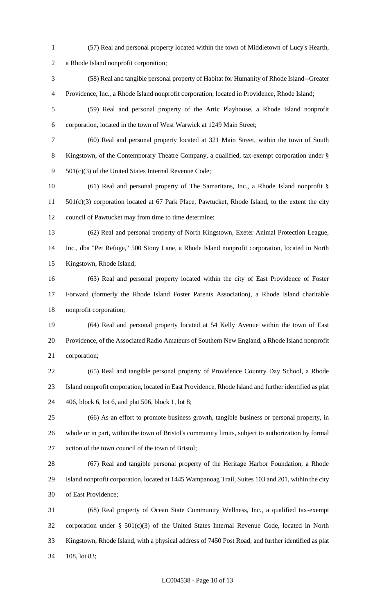- (57) Real and personal property located within the town of Middletown of Lucy's Hearth, a Rhode Island nonprofit corporation; (58) Real and tangible personal property of Habitat for Humanity of Rhode Island--Greater Providence, Inc., a Rhode Island nonprofit corporation, located in Providence, Rhode Island;
- (59) Real and personal property of the Artic Playhouse, a Rhode Island nonprofit corporation, located in the town of West Warwick at 1249 Main Street;
- (60) Real and personal property located at 321 Main Street, within the town of South Kingstown, of the Contemporary Theatre Company, a qualified, tax-exempt corporation under § 501(c)(3) of the United States Internal Revenue Code;
- (61) Real and personal property of The Samaritans, Inc., a Rhode Island nonprofit § 501(c)(3) corporation located at 67 Park Place, Pawtucket, Rhode Island, to the extent the city council of Pawtucket may from time to time determine;
- (62) Real and personal property of North Kingstown, Exeter Animal Protection League, Inc., dba "Pet Refuge," 500 Stony Lane, a Rhode Island nonprofit corporation, located in North Kingstown, Rhode Island;
- (63) Real and personal property located within the city of East Providence of Foster Forward (formerly the Rhode Island Foster Parents Association), a Rhode Island charitable nonprofit corporation;
- (64) Real and personal property located at 54 Kelly Avenue within the town of East Providence, of the Associated Radio Amateurs of Southern New England, a Rhode Island nonprofit corporation;
- (65) Real and tangible personal property of Providence Country Day School, a Rhode Island nonprofit corporation, located in East Providence, Rhode Island and further identified as plat 406, block 6, lot 6, and plat 506, block 1, lot 8;
- (66) As an effort to promote business growth, tangible business or personal property, in whole or in part, within the town of Bristol's community limits, subject to authorization by formal action of the town council of the town of Bristol;
- (67) Real and tangible personal property of the Heritage Harbor Foundation, a Rhode Island nonprofit corporation, located at 1445 Wampanoag Trail, Suites 103 and 201, within the city of East Providence;
- (68) Real property of Ocean State Community Wellness, Inc., a qualified tax-exempt corporation under § 501(c)(3) of the United States Internal Revenue Code, located in North Kingstown, Rhode Island, with a physical address of 7450 Post Road, and further identified as plat 108, lot 83;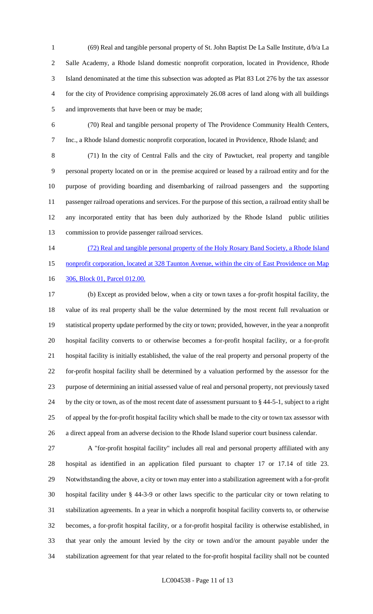(69) Real and tangible personal property of St. John Baptist De La Salle Institute, d/b/a La Salle Academy, a Rhode Island domestic nonprofit corporation, located in Providence, Rhode Island denominated at the time this subsection was adopted as Plat 83 Lot 276 by the tax assessor for the city of Providence comprising approximately 26.08 acres of land along with all buildings and improvements that have been or may be made;

 (70) Real and tangible personal property of The Providence Community Health Centers, Inc., a Rhode Island domestic nonprofit corporation, located in Providence, Rhode Island; and

 (71) In the city of Central Falls and the city of Pawtucket, real property and tangible personal property located on or in the premise acquired or leased by a railroad entity and for the purpose of providing boarding and disembarking of railroad passengers and the supporting passenger railroad operations and services. For the purpose of this section, a railroad entity shall be any incorporated entity that has been duly authorized by the Rhode Island public utilities commission to provide passenger railroad services.

14 (72) Real and tangible personal property of the Holy Rosary Band Society, a Rhode Island 15 nonprofit corporation, located at 328 Taunton Avenue, within the city of East Providence on Map 16 306, Block 01, Parcel 012.00.

 (b) Except as provided below, when a city or town taxes a for-profit hospital facility, the value of its real property shall be the value determined by the most recent full revaluation or statistical property update performed by the city or town; provided, however, in the year a nonprofit hospital facility converts to or otherwise becomes a for-profit hospital facility, or a for-profit hospital facility is initially established, the value of the real property and personal property of the for-profit hospital facility shall be determined by a valuation performed by the assessor for the purpose of determining an initial assessed value of real and personal property, not previously taxed by the city or town, as of the most recent date of assessment pursuant to § 44-5-1, subject to a right of appeal by the for-profit hospital facility which shall be made to the city or town tax assessor with a direct appeal from an adverse decision to the Rhode Island superior court business calendar.

 A "for-profit hospital facility" includes all real and personal property affiliated with any hospital as identified in an application filed pursuant to chapter 17 or 17.14 of title 23. Notwithstanding the above, a city or town may enter into a stabilization agreement with a for-profit hospital facility under § 44-3-9 or other laws specific to the particular city or town relating to stabilization agreements. In a year in which a nonprofit hospital facility converts to, or otherwise becomes, a for-profit hospital facility, or a for-profit hospital facility is otherwise established, in that year only the amount levied by the city or town and/or the amount payable under the stabilization agreement for that year related to the for-profit hospital facility shall not be counted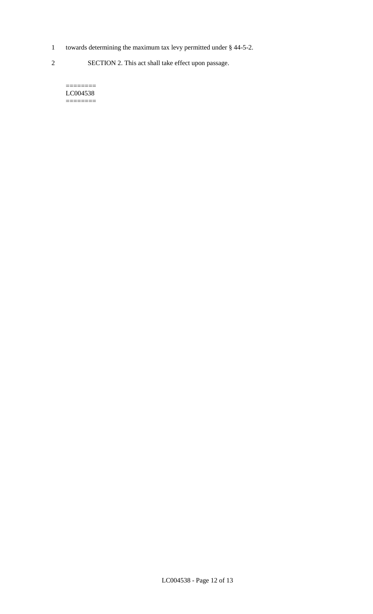- 1 towards determining the maximum tax levy permitted under § 44-5-2.
- 2 SECTION 2. This act shall take effect upon passage.

======== LC004538  $=$